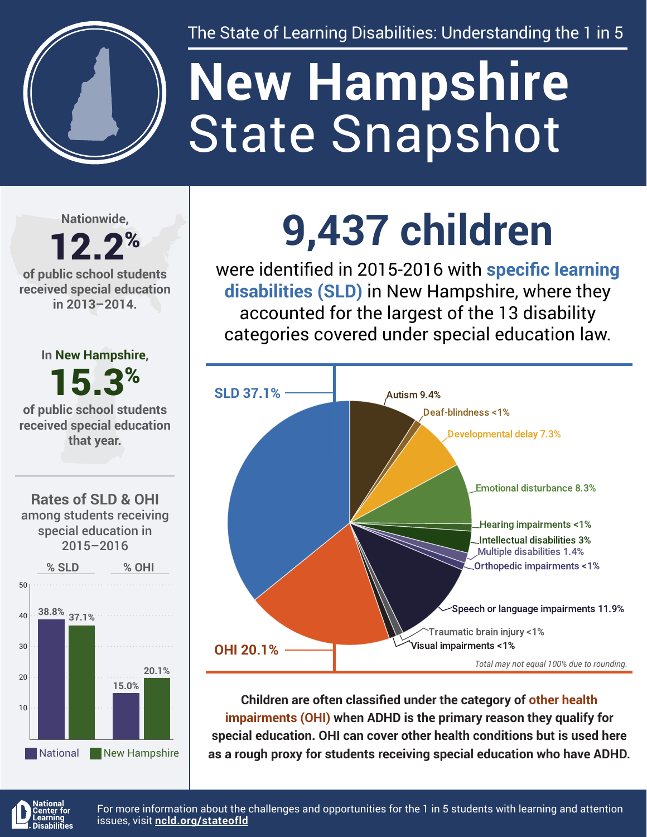

The State of Learning Disabilities: Understanding the 1 in 5

# State Snapshot **New Hampshire**

**Nationwide,**

#### 12.2% **of public school students received special education in 2013–2014.**

**In New Hampshire,** 15.3% **of public school students received special education that year.**





# **9,437 children**

were identified in 2015-2016 with **specific learning disabilities (SLD)** in New Hampshire, where they accounted for the largest of the 13 disability categories covered under special education law.



**Children are often classified under the category of other health impairments (OHI) when ADHD is the primary reason they qualify for special education. OHI can cover other health conditions but is used here as a rough proxy for students receiving special education who have ADHD.**



For more information about the challenges and opportunities for the 1 in 5 students with learning and attention issues, visit **[ncld.org/stateofld](http://ncld.org/stateofld)**